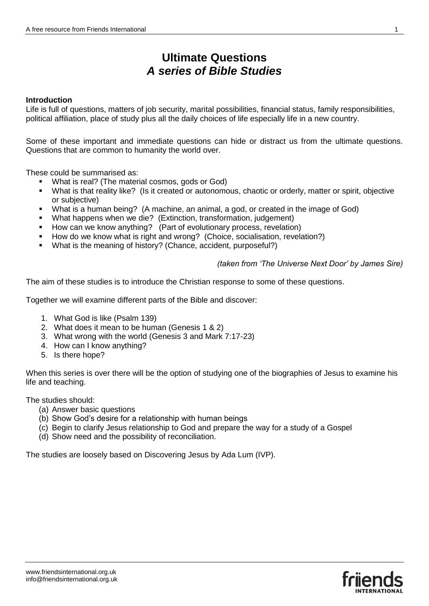# **Ultimate Questions** *A series of Bible Studies*

#### **Introduction**

Life is full of questions, matters of job security, marital possibilities, financial status, family responsibilities, political affiliation, place of study plus all the daily choices of life especially life in a new country.

Some of these important and immediate questions can hide or distract us from the ultimate questions. Questions that are common to humanity the world over.

These could be summarised as:

- What is real? (The material cosmos, gods or God)
- What is that reality like? (Is it created or autonomous, chaotic or orderly, matter or spirit, objective or subjective)
- What is a human being? (A machine, an animal, a god, or created in the image of God)
- What happens when we die? (Extinction, transformation, judgement)
- How can we know anything? (Part of evolutionary process, revelation)
- How do we know what is right and wrong? (Choice, socialisation, revelation?)
- What is the meaning of history? (Chance, accident, purposeful?)

*(taken from 'The Universe Next Door' by James Sire)*

The aim of these studies is to introduce the Christian response to some of these questions.

Together we will examine different parts of the Bible and discover:

- 1. What God is like (Psalm 139)
- 2. What does it mean to be human (Genesis 1 & 2)
- 3. What wrong with the world (Genesis 3 and Mark 7:17-23)
- 4. How can I know anything?
- 5. Is there hope?

When this series is over there will be the option of studying one of the biographies of Jesus to examine his life and teaching.

The studies should:

- (a) Answer basic questions
- (b) Show God's desire for a relationship with human beings
- (c) Begin to clarify Jesus relationship to God and prepare the way for a study of a Gospel
- (d) Show need and the possibility of reconciliation.

The studies are loosely based on Discovering Jesus by Ada Lum (IVP).

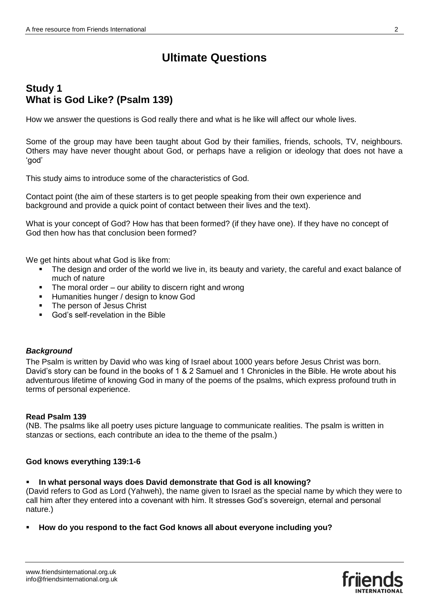# **Study 1 What is God Like? (Psalm 139)**

How we answer the questions is God really there and what is he like will affect our whole lives.

Some of the group may have been taught about God by their families, friends, schools, TV, neighbours. Others may have never thought about God, or perhaps have a religion or ideology that does not have a 'god'

This study aims to introduce some of the characteristics of God.

Contact point (the aim of these starters is to get people speaking from their own experience and background and provide a quick point of contact between their lives and the text).

What is your concept of God? How has that been formed? (if they have one). If they have no concept of God then how has that conclusion been formed?

We get hints about what God is like from:

- The design and order of the world we live in, its beauty and variety, the careful and exact balance of much of nature
- The moral order our ability to discern right and wrong
- **Humanities hunger / design to know God**
- The person of Jesus Christ
- God's self-revelation in the Bible

# *Background*

The Psalm is written by David who was king of Israel about 1000 years before Jesus Christ was born. David's story can be found in the books of 1 & 2 Samuel and 1 Chronicles in the Bible. He wrote about his adventurous lifetime of knowing God in many of the poems of the psalms, which express profound truth in terms of personal experience.

#### **Read Psalm 139**

(NB. The psalms like all poetry uses picture language to communicate realities. The psalm is written in stanzas or sections, each contribute an idea to the theme of the psalm.)

#### **God knows everything 139:1-6**

**In what personal ways does David demonstrate that God is all knowing?** 

(David refers to God as Lord (Yahweh), the name given to Israel as the special name by which they were to call him after they entered into a covenant with him. It stresses God's sovereign, eternal and personal nature.)

**How do you respond to the fact God knows all about everyone including you?**

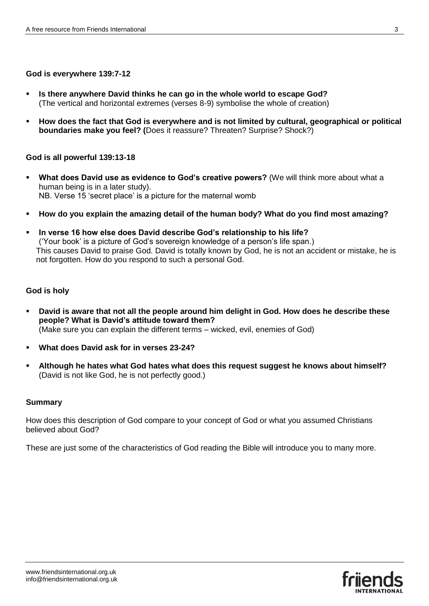### **God is everywhere 139:7-12**

- **Is there anywhere David thinks he can go in the whole world to escape God?** (The vertical and horizontal extremes (verses 8-9) symbolise the whole of creation)
- **How does the fact that God is everywhere and is not limited by cultural, geographical or political boundaries make you feel? (**Does it reassure? Threaten? Surprise? Shock?)

#### **God is all powerful 139:13-18**

- **What does David use as evidence to God's creative powers?** (We will think more about what a human being is in a later study). NB. Verse 15 'secret place' is a picture for the maternal womb
- **How do you explain the amazing detail of the human body? What do you find most amazing?**
- **In verse 16 how else does David describe God's relationship to his life?** ('Your book' is a picture of God's sovereign knowledge of a person's life span.) This causes David to praise God. David is totally known by God, he is not an accident or mistake, he is not forgotten. How do you respond to such a personal God.

### **God is holy**

- **David is aware that not all the people around him delight in God. How does he describe these people? What is David's attitude toward them?** (Make sure you can explain the different terms – wicked, evil, enemies of God)
- **What does David ask for in verses 23-24?**
- **Although he hates what God hates what does this request suggest he knows about himself?**  (David is not like God, he is not perfectly good.)

#### **Summary**

How does this description of God compare to your concept of God or what you assumed Christians believed about God?

These are just some of the characteristics of God reading the Bible will introduce you to many more.

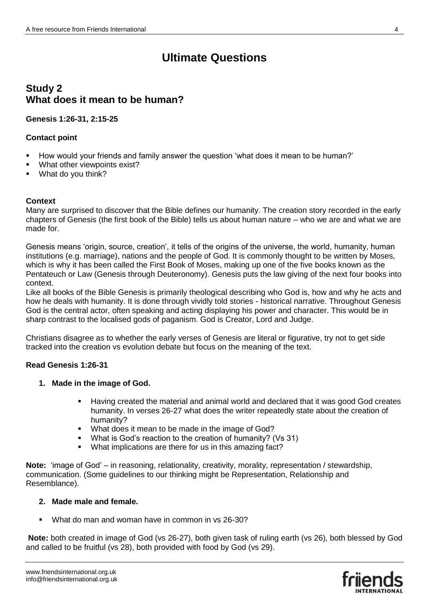# **Study 2 What does it mean to be human?**

# **Genesis 1:26-31, 2:15-25**

# **Contact point**

- How would your friends and family answer the question 'what does it mean to be human?'
- What other viewpoints exist?
- What do you think?

# **Context**

Many are surprised to discover that the Bible defines our humanity. The creation story recorded in the early chapters of Genesis (the first book of the Bible) tells us about human nature – who we are and what we are made for.

Genesis means 'origin, source, creation', it tells of the origins of the universe, the world, humanity, human institutions (e.g. marriage), nations and the people of God. It is commonly thought to be written by Moses, which is why it has been called the First Book of Moses, making up one of the five books known as the Pentateuch or Law (Genesis through Deuteronomy). Genesis puts the law giving of the next four books into context.

Like all books of the Bible Genesis is primarily theological describing who God is, how and why he acts and how he deals with humanity. It is done through vividly told stories - historical narrative. Throughout Genesis God is the central actor, often speaking and acting displaying his power and character. This would be in sharp contrast to the localised gods of paganism. God is Creator, Lord and Judge.

Christians disagree as to whether the early verses of Genesis are literal or figurative, try not to get side tracked into the creation vs evolution debate but focus on the meaning of the text.

# **Read Genesis 1:26-31**

# **1. Made in the image of God.**

- Having created the material and animal world and declared that it was good God creates humanity. In verses 26-27 what does the writer repeatedly state about the creation of humanity?
- What does it mean to be made in the image of God?
- What is God's reaction to the creation of humanity? (Vs 31)
- What implications are there for us in this amazing fact?

**Note:** 'image of God' – in reasoning, relationality, creativity, morality, representation / stewardship, communication. (Some guidelines to our thinking might be Representation, Relationship and Resemblance).

# **2. Made male and female.**

What do man and woman have in common in vs 26-30?

**Note:** both created in image of God (vs 26-27), both given task of ruling earth (vs 26), both blessed by God and called to be fruitful (vs 28), both provided with food by God (vs 29).

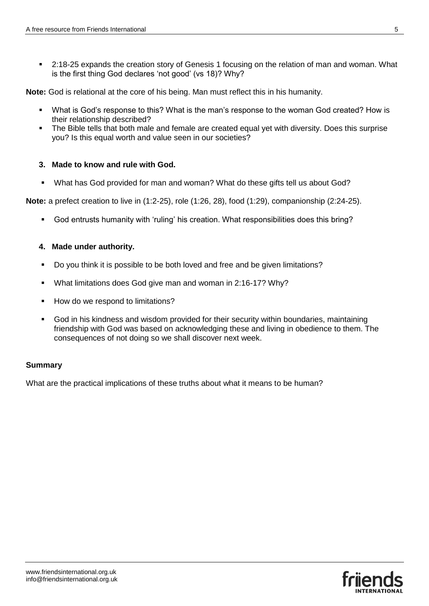2:18-25 expands the creation story of Genesis 1 focusing on the relation of man and woman. What is the first thing God declares 'not good' (vs 18)? Why?

**Note:** God is relational at the core of his being. Man must reflect this in his humanity.

- What is God's response to this? What is the man's response to the woman God created? How is their relationship described?
- The Bible tells that both male and female are created equal yet with diversity. Does this surprise you? Is this equal worth and value seen in our societies?

#### **3. Made to know and rule with God.**

What has God provided for man and woman? What do these gifts tell us about God?

**Note:** a prefect creation to live in (1:2-25), role (1:26, 28), food (1:29), companionship (2:24-25).

God entrusts humanity with 'ruling' his creation. What responsibilities does this bring?

#### **4. Made under authority.**

- Do you think it is possible to be both loved and free and be given limitations?
- **What limitations does God give man and woman in 2:16-17? Why?**
- **How do we respond to limitations?**
- God in his kindness and wisdom provided for their security within boundaries, maintaining friendship with God was based on acknowledging these and living in obedience to them. The consequences of not doing so we shall discover next week.

#### **Summary**

What are the practical implications of these truths about what it means to be human?

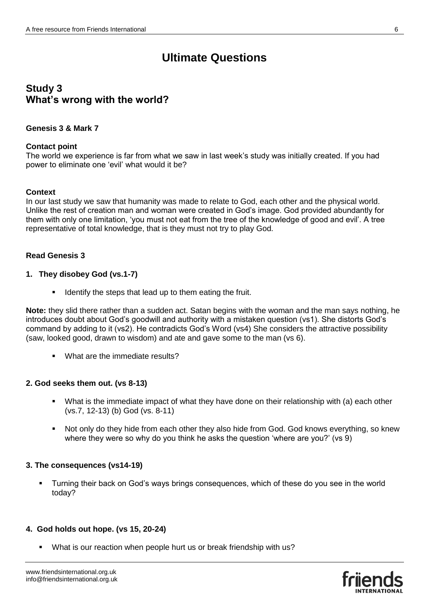# **Study 3 What's wrong with the world?**

#### **Genesis 3 & Mark 7**

#### **Contact point**

The world we experience is far from what we saw in last week's study was initially created. If you had power to eliminate one 'evil' what would it be?

#### **Context**

In our last study we saw that humanity was made to relate to God, each other and the physical world. Unlike the rest of creation man and woman were created in God's image. God provided abundantly for them with only one limitation, 'you must not eat from the tree of the knowledge of good and evil'. A tree representative of total knowledge, that is they must not try to play God.

#### **Read Genesis 3**

#### **1. They disobey God (vs.1-7)**

**IDED** 1 Identify the steps that lead up to them eating the fruit.

**Note:** they slid there rather than a sudden act. Satan begins with the woman and the man says nothing, he introduces doubt about God's goodwill and authority with a mistaken question (vs1). She distorts God's command by adding to it (vs2). He contradicts God's Word (vs4) She considers the attractive possibility (saw, looked good, drawn to wisdom) and ate and gave some to the man (vs 6).

What are the immediate results?

#### **2. God seeks them out. (vs 8-13)**

- What is the immediate impact of what they have done on their relationship with (a) each other (vs.7, 12-13) (b) God (vs. 8-11)
- Not only do they hide from each other they also hide from God. God knows everything, so knew where they were so why do you think he asks the question 'where are you?' (vs 9)

#### **3. The consequences (vs14-19)**

 Turning their back on God's ways brings consequences, which of these do you see in the world today?

#### **4. God holds out hope. (vs 15, 20-24)**

What is our reaction when people hurt us or break friendship with us?

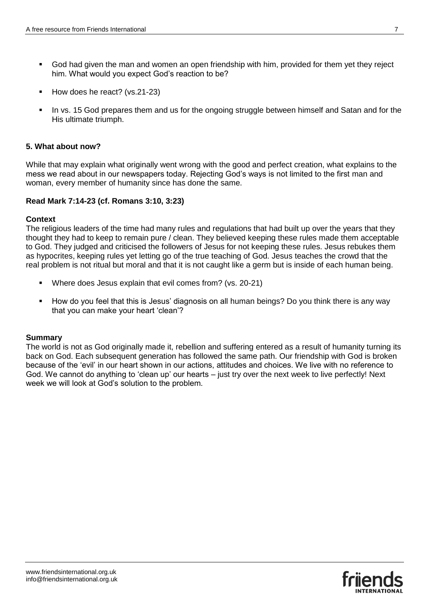- God had given the man and women an open friendship with him, provided for them yet they reject him. What would you expect God's reaction to be?
- How does he react? (vs.21-23)
- In vs. 15 God prepares them and us for the ongoing struggle between himself and Satan and for the His ultimate triumph.

#### **5. What about now?**

While that may explain what originally went wrong with the good and perfect creation, what explains to the mess we read about in our newspapers today. Rejecting God's ways is not limited to the first man and woman, every member of humanity since has done the same.

#### **Read Mark 7:14-23 (cf. Romans 3:10, 3:23)**

#### **Context**

The religious leaders of the time had many rules and regulations that had built up over the years that they thought they had to keep to remain pure / clean. They believed keeping these rules made them acceptable to God. They judged and criticised the followers of Jesus for not keeping these rules. Jesus rebukes them as hypocrites, keeping rules yet letting go of the true teaching of God. Jesus teaches the crowd that the real problem is not ritual but moral and that it is not caught like a germ but is inside of each human being.

- Where does Jesus explain that evil comes from? (vs. 20-21)
- How do you feel that this is Jesus' diagnosis on all human beings? Do you think there is any way that you can make your heart 'clean'?

#### **Summary**

The world is not as God originally made it, rebellion and suffering entered as a result of humanity turning its back on God. Each subsequent generation has followed the same path. Our friendship with God is broken because of the 'evil' in our heart shown in our actions, attitudes and choices. We live with no reference to God. We cannot do anything to 'clean up' our hearts – just try over the next week to live perfectly! Next week we will look at God's solution to the problem.

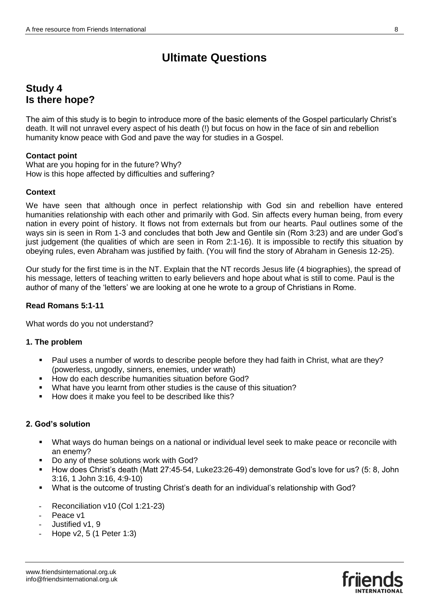# **Study 4 Is there hope?**

The aim of this study is to begin to introduce more of the basic elements of the Gospel particularly Christ's death. It will not unravel every aspect of his death (!) but focus on how in the face of sin and rebellion humanity know peace with God and pave the way for studies in a Gospel.

# **Contact point**

What are you hoping for in the future? Why? How is this hope affected by difficulties and suffering?

### **Context**

We have seen that although once in perfect relationship with God sin and rebellion have entered humanities relationship with each other and primarily with God. Sin affects every human being, from every nation in every point of history. It flows not from externals but from our hearts. Paul outlines some of the ways sin is seen in Rom 1-3 and concludes that both Jew and Gentile sin (Rom 3:23) and are under God's just judgement (the qualities of which are seen in Rom 2:1-16). It is impossible to rectify this situation by obeying rules, even Abraham was justified by faith. (You will find the story of Abraham in Genesis 12-25).

Our study for the first time is in the NT. Explain that the NT records Jesus life (4 biographies), the spread of his message, letters of teaching written to early believers and hope about what is still to come. Paul is the author of many of the 'letters' we are looking at one he wrote to a group of Christians in Rome.

#### **Read Romans 5:1-11**

What words do you not understand?

#### **1. The problem**

- Paul uses a number of words to describe people before they had faith in Christ, what are they? (powerless, ungodly, sinners, enemies, under wrath)
- **How do each describe humanities situation before God?**
- What have you learnt from other studies is the cause of this situation?
- How does it make you feel to be described like this?

# **2. God's solution**

- What ways do human beings on a national or individual level seek to make peace or reconcile with an enemy?
- Do any of these solutions work with God?
- How does Christ's death (Matt 27:45-54, Luke23:26-49) demonstrate God's love for us? (5: 8, John 3:16, 1 John 3:16, 4:9-10)
- What is the outcome of trusting Christ's death for an individual's relationship with God?
- Reconciliation v10 (Col 1:21-23)
- Peace v1
- Justified v1, 9
- Hope v2, 5 (1 Peter 1:3)